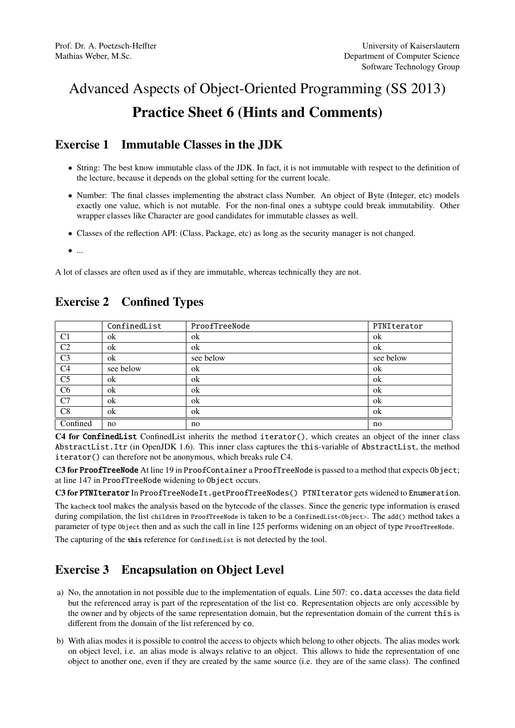## Advanced Aspects of Object-Oriented Programming (SS 2013) Practice Sheet 6 (Hints and Comments)

## Exercise 1 Immutable Classes in the JDK

- String: The best know immutable class of the JDK. In fact, it is not immutable with respect to the definition of the lecture, because it depends on the global setting for the current locale.
- Number: The final classes implementing the abstract class Number. An object of Byte (Integer, etc) models exactly one value, which is not mutable. For the non-final ones a subtype could break immutability. Other wrapper classes like Character are good candidates for immutable classes as well.
- Classes of the reflection API: (Class, Package, etc) as long as the security manager is not changed.
- ...

A lot of classes are often used as if they are immutable, whereas technically they are not.

## Exercise 2 Confined Types

|                | ConfinedList | ProofTreeNode | PTNIterator |
|----------------|--------------|---------------|-------------|
| C <sub>1</sub> | ok           | ok            | ok          |
| C <sub>2</sub> | ok           | ok            | ok          |
| C <sub>3</sub> | ok           | see below     | see below   |
| C <sub>4</sub> | see below    | ok            | ok          |
| C <sub>5</sub> | ok           | ok            | ok          |
| C6             | ok           | ok            | ok          |
| C7             | ok           | ok            | ok          |
| C8             | ok           | ok            | ok          |
| Confined       | no           | no            | no          |

C4 for ConfinedList ConfinedList inherits the method iterator(), which creates an object of the inner class AbstractList.Itr (in OpenJDK 1.6). This inner class captures the this-variable of AbstractList, the method iterator() can therefore not be anonymous, which breaks rule C4.

C3 for ProofTreeNode At line 19 in ProofContainer a ProofTreeNode is passed to a method that expects Object; at line 147 in ProofTreeNode widening to Object occurs.

C3 for PTNIterator In ProofTreeNodeIt.getProofTreeNodes() PTNIterator gets widened to Enumeration.

The kacheck tool makes the analysis based on the bytecode of the classes. Since the generic type information is erased during compilation, the list children in ProofTreeNode is taken to be a ConfinedList<Object>. The add() method takes a parameter of type  $0$ bject then and as such the call in line 125 performs widening on an object of type ProofTreeNode. The capturing of the this reference for ConfinedList is not detected by the tool.

## Exercise 3 Encapsulation on Object Level

- a) No, the annotation in not possible due to the implementation of equals. Line 507: co.data accesses the data field but the referenced array is part of the representation of the list co. Representation objects are only accessible by the owner and by objects of the same representation domain, but the representation domain of the current this is different from the domain of the list referenced by co.
- b) With alias modes it is possible to control the access to objects which belong to other objects. The alias modes work on object level, i.e. an alias mode is always relative to an object. This allows to hide the representation of one object to another one, even if they are created by the same source (i.e. they are of the same class). The confined